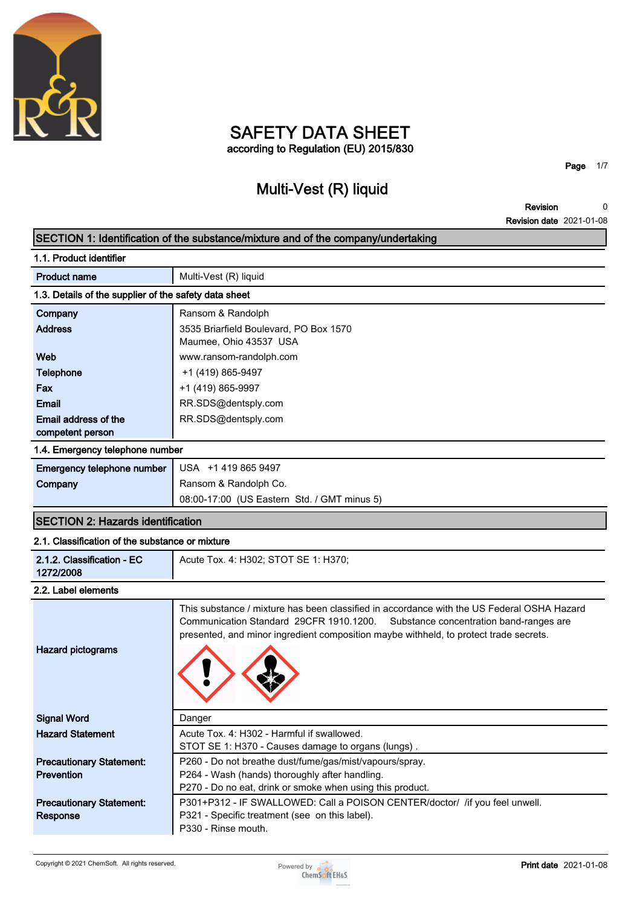

### **SAFETY DATA SHEET according to Regulation (EU) 2015/830**

# **Multi-Vest (R) liquid**

**Page 1/7**

**Revision Revision date 2021-01-08 0**

|                                                       | SECTION 1: Identification of the substance/mixture and of the company/undertaking                                                                                                                                                                                         |  |
|-------------------------------------------------------|---------------------------------------------------------------------------------------------------------------------------------------------------------------------------------------------------------------------------------------------------------------------------|--|
| 1.1. Product identifier                               |                                                                                                                                                                                                                                                                           |  |
| <b>Product name</b>                                   | Multi-Vest (R) liquid                                                                                                                                                                                                                                                     |  |
| 1.3. Details of the supplier of the safety data sheet |                                                                                                                                                                                                                                                                           |  |
| Company                                               | Ransom & Randolph                                                                                                                                                                                                                                                         |  |
| <b>Address</b>                                        | 3535 Briarfield Boulevard, PO Box 1570<br>Maumee, Ohio 43537 USA                                                                                                                                                                                                          |  |
| Web                                                   | www.ransom-randolph.com                                                                                                                                                                                                                                                   |  |
| <b>Telephone</b>                                      | +1 (419) 865-9497                                                                                                                                                                                                                                                         |  |
| Fax                                                   | +1 (419) 865-9997                                                                                                                                                                                                                                                         |  |
| Email                                                 | RR.SDS@dentsply.com                                                                                                                                                                                                                                                       |  |
| Email address of the                                  | RR.SDS@dentsply.com                                                                                                                                                                                                                                                       |  |
| competent person                                      |                                                                                                                                                                                                                                                                           |  |
| 1.4. Emergency telephone number                       |                                                                                                                                                                                                                                                                           |  |
| Emergency telephone number                            | USA +1 419 865 9497                                                                                                                                                                                                                                                       |  |
| Company                                               | Ransom & Randolph Co.                                                                                                                                                                                                                                                     |  |
|                                                       | 08:00-17:00 (US Eastern Std. / GMT minus 5)                                                                                                                                                                                                                               |  |
| <b>SECTION 2: Hazards identification</b>              |                                                                                                                                                                                                                                                                           |  |
| 2.1. Classification of the substance or mixture       |                                                                                                                                                                                                                                                                           |  |
| 2.1.2. Classification - EC<br>1272/2008               | Acute Tox. 4: H302; STOT SE 1: H370;                                                                                                                                                                                                                                      |  |
| 2.2. Label elements                                   |                                                                                                                                                                                                                                                                           |  |
| <b>Hazard pictograms</b>                              | This substance / mixture has been classified in accordance with the US Federal OSHA Hazard<br>Communication Standard 29CFR 1910.1200.<br>Substance concentration band-ranges are<br>presented, and minor ingredient composition maybe withheld, to protect trade secrets. |  |
| <b>Signal Word</b>                                    | Danger                                                                                                                                                                                                                                                                    |  |
| <b>Hazard Statement</b>                               | Acute Tox. 4: H302 - Harmful if swallowed.<br>STOT SE 1: H370 - Causes damage to organs (lungs).                                                                                                                                                                          |  |
| <b>Precautionary Statement:</b>                       | P260 - Do not breathe dust/fume/gas/mist/vapours/spray.                                                                                                                                                                                                                   |  |
| <b>Prevention</b>                                     | P264 - Wash (hands) thoroughly after handling.                                                                                                                                                                                                                            |  |
|                                                       | P270 - Do no eat, drink or smoke when using this product.                                                                                                                                                                                                                 |  |
| <b>Precautionary Statement:</b><br>Response           | P301+P312 - IF SWALLOWED: Call a POISON CENTER/doctor/ /if you feel unwell.<br>P321 - Specific treatment (see on this label).<br>P330 - Rinse mouth.                                                                                                                      |  |

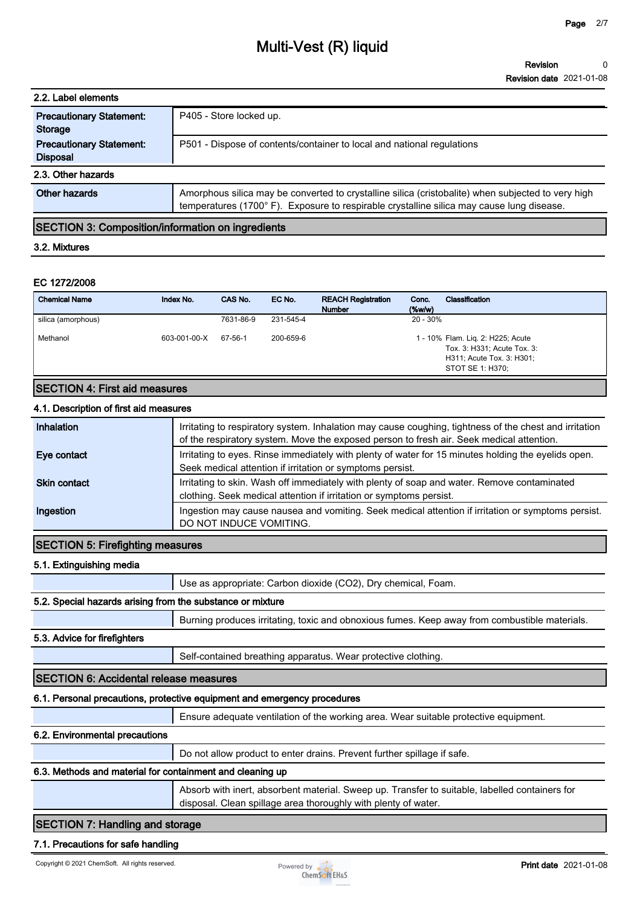| 2.2. Label elements                                |                                                                                                                                                                                                |  |  |
|----------------------------------------------------|------------------------------------------------------------------------------------------------------------------------------------------------------------------------------------------------|--|--|
| <b>Precautionary Statement:</b><br>Storage         | P405 - Store locked up.                                                                                                                                                                        |  |  |
| <b>Precautionary Statement:</b><br><b>Disposal</b> | P501 - Dispose of contents/container to local and national regulations                                                                                                                         |  |  |
| 2.3. Other hazards                                 |                                                                                                                                                                                                |  |  |
| Other hazards                                      | Amorphous silica may be converted to crystalline silica (cristobalite) when subjected to very high<br>temperatures (1700°F). Exposure to respirable crystalline silica may cause lung disease. |  |  |

#### **SECTION 3: Composition/information on ingredients**

#### **3.2. Mixtures**

#### **EC 1272/2008**

| <b>Chemical Name</b>                 | Index No.    | CAS No.   | EC No.    | <b>REACH Registration</b><br><b>Number</b> | Conc.<br>$(\%w/w)$ | Classification                                                                                                    |
|--------------------------------------|--------------|-----------|-----------|--------------------------------------------|--------------------|-------------------------------------------------------------------------------------------------------------------|
| silica (amorphous)                   |              | 7631-86-9 | 231-545-4 |                                            | $20 - 30\%$        |                                                                                                                   |
| Methanol                             | 603-001-00-X | 67-56-1   | 200-659-6 |                                            |                    | 1 - 10% Flam. Lig. 2: H225; Acute<br>Tox. 3: H331; Acute Tox. 3:<br>H311; Acute Tox. 3: H301;<br>STOT SE 1: H370; |
| <b>SECTION 4: First aid measures</b> |              |           |           |                                            |                    |                                                                                                                   |

## **4.1. Description of first aid measures**

| Inhalation          | Irritating to respiratory system. Inhalation may cause coughing, tightness of the chest and irritation<br>of the respiratory system. Move the exposed person to fresh air. Seek medical attention. |
|---------------------|----------------------------------------------------------------------------------------------------------------------------------------------------------------------------------------------------|
| Eye contact         | Irritating to eyes. Rinse immediately with plenty of water for 15 minutes holding the eyelids open.<br>Seek medical attention if irritation or symptoms persist.                                   |
| <b>Skin contact</b> | Irritating to skin. Wash off immediately with plenty of soap and water. Remove contaminated<br>clothing. Seek medical attention if irritation or symptoms persist.                                 |
| Ingestion           | Ingestion may cause nausea and vomiting. Seek medical attention if irritation or symptoms persist.<br>DO NOT INDUCE VOMITING.                                                                      |

#### **SECTION 5: Firefighting measures**

#### **5.1. Extinguishing media**

**Use as appropriate: Carbon dioxide (CO2), Dry chemical, Foam.**

#### **5.2. Special hazards arising from the substance or mixture**

**Burning produces irritating, toxic and obnoxious fumes. Keep away from combustible materials.**

#### **5.3. Advice for firefighters**

**Self-contained breathing apparatus. Wear protective clothing.**

#### **SECTION 6: Accidental release measures**

#### **6.1. Personal precautions, protective equipment and emergency procedures**

**Ensure adequate ventilation of the working area. Wear suitable protective equipment.**

#### **6.2. Environmental precautions**

**Do not allow product to enter drains. Prevent further spillage if safe.**

#### **6.3. Methods and material for containment and cleaning up**

**Absorb with inert, absorbent material. Sweep up. Transfer to suitable, labelled containers for disposal. Clean spillage area thoroughly with plenty of water.**

#### **SECTION 7: Handling and storage**

#### **7.1. Precautions for safe handling**

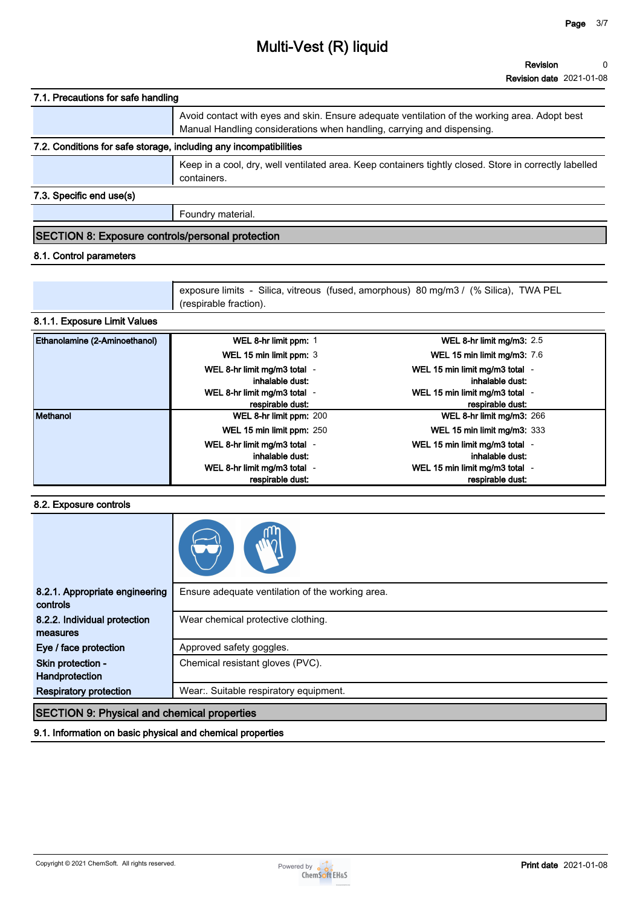| 7.1. Precautions for safe handling                                |                                                                                                                                                                         |
|-------------------------------------------------------------------|-------------------------------------------------------------------------------------------------------------------------------------------------------------------------|
|                                                                   | Avoid contact with eyes and skin. Ensure adequate ventilation of the working area. Adopt best<br>Manual Handling considerations when handling, carrying and dispensing. |
| 7.2. Conditions for safe storage, including any incompatibilities |                                                                                                                                                                         |
|                                                                   | Keep in a cool, dry, well ventilated area. Keep containers tightly closed. Store in correctly labelled<br>containers.                                                   |
| 7.3. Specific end use(s)                                          |                                                                                                                                                                         |

**Foundry material.**

#### **SECTION 8: Exposure controls/personal protection**

#### **8.1. Control parameters**

**exposure limits - Silica, vitreous (fused, amorphous) 80 mg/m3 / (% Silica), TWA PEL (respirable fraction).**

#### **8.1.1. Exposure Limit Values**

| Ethanolamine (2-Aminoethanol) | WEL 8-hr limit ppm: 1                           | WEL 8-hr limit mg/m3: $2.5$                       |
|-------------------------------|-------------------------------------------------|---------------------------------------------------|
|                               | WEL 15 min limit ppm: 3                         | WEL 15 min limit mg/m3: 7.6                       |
|                               | WEL 8-hr limit mg/m3 total -<br>inhalable dust: | WEL 15 min limit mg/m3 total -<br>inhalable dust: |
|                               | WEL 8-hr limit mg/m3 total -                    | WEL 15 min limit mg/m3 total -                    |
|                               | respirable dust:                                | respirable dust:                                  |
| Methanol                      | WEL 8-hr limit ppm: 200                         | WEL 8-hr limit mg/m3: $266$                       |
|                               | WEL 15 min limit ppm: 250                       | <b>WEL 15 min limit mg/m3: 333</b>                |
|                               | WEL 8-hr limit mg/m3 total -                    | WEL 15 min limit mg/m3 total -                    |
|                               | inhalable dust:                                 | inhalable dust:                                   |
|                               | WEL 8-hr limit mg/m3 total -                    | WEL 15 min limit mg/m3 total -                    |
|                               | respirable dust:                                | respirable dust:                                  |

#### **8.2. Exposure controls**

| 8.2.1. Appropriate engineering<br>controls         | Ensure adequate ventilation of the working area. |
|----------------------------------------------------|--------------------------------------------------|
| 8.2.2. Individual protection<br>measures           | Wear chemical protective clothing.               |
| Eye / face protection                              | Approved safety goggles.                         |
| Skin protection -<br>Handprotection                | Chemical resistant gloves (PVC).                 |
| <b>Respiratory protection</b>                      | Wear: Suitable respiratory equipment.            |
| <b>RECTION O. Physical and shamical proportion</b> |                                                  |

#### **SECTION 9: Physical and chemical properties**

**9.1. Information on basic physical and chemical properties**

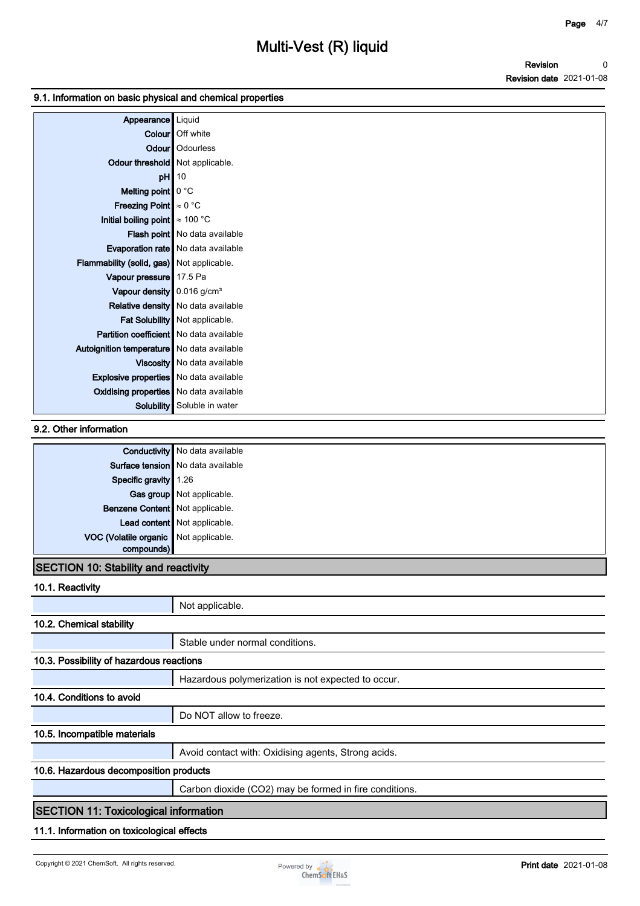#### **9.1. Information on basic physical and chemical properties**

| Appearance                                                         | Liquid                               |
|--------------------------------------------------------------------|--------------------------------------|
|                                                                    | Colour   Off white                   |
|                                                                    | Odour   Odourless                    |
| Odour threshold   Not applicable.                                  |                                      |
| pH                                                                 | 10                                   |
| Melting point $\vert \vert$ 0 °C                                   |                                      |
| Freezing Point $\approx 0$ °C                                      |                                      |
| Initial boiling point $\approx 100$ °C                             |                                      |
|                                                                    | Flash point No data available        |
|                                                                    | Evaporation rate   No data available |
| Flammability (solid, gas) Not applicable.                          |                                      |
| Vapour pressure 17.5 Pa                                            |                                      |
| Vapour density $\vert\hspace{-1.5pt}\vert$ 0.016 g/cm <sup>3</sup> |                                      |
|                                                                    | Relative density   No data available |
|                                                                    | Fat Solubility   Not applicable.     |
| <b>Partition coefficient</b> No data available                     |                                      |
| Autoignition temperature   No data available                       |                                      |
|                                                                    | Viscosity   No data available        |
| <b>Explosive properties</b> No data available                      |                                      |
| <b>Oxidising properties</b> No data available                      |                                      |
|                                                                    | <b>Solubility</b> Soluble in water   |

#### **9.2. Other information**

|                                       | <b>Conductivity</b> No data available |
|---------------------------------------|---------------------------------------|
|                                       | Surface tension   No data available   |
| Specific gravity 1.26                 |                                       |
|                                       | Gas group Not applicable.             |
| Benzene Content   Not applicable.     |                                       |
|                                       | Lead content Not applicable.          |
| VOC (Volatile organic Not applicable. |                                       |
| compounds)                            |                                       |

### **SECTION 10: Stability and reactivity**

**10.1. Reactivity**

|                                              | Not applicable.                                        |  |
|----------------------------------------------|--------------------------------------------------------|--|
| 10.2. Chemical stability                     |                                                        |  |
|                                              | Stable under normal conditions.                        |  |
| 10.3. Possibility of hazardous reactions     |                                                        |  |
|                                              | Hazardous polymerization is not expected to occur.     |  |
| 10.4. Conditions to avoid                    |                                                        |  |
|                                              | Do NOT allow to freeze.                                |  |
| 10.5. Incompatible materials                 |                                                        |  |
|                                              | Avoid contact with: Oxidising agents, Strong acids.    |  |
| 10.6. Hazardous decomposition products       |                                                        |  |
|                                              | Carbon dioxide (CO2) may be formed in fire conditions. |  |
| <b>SECTION 11: Toxicological information</b> |                                                        |  |
| 11.1. Information on toxicological effects   |                                                        |  |

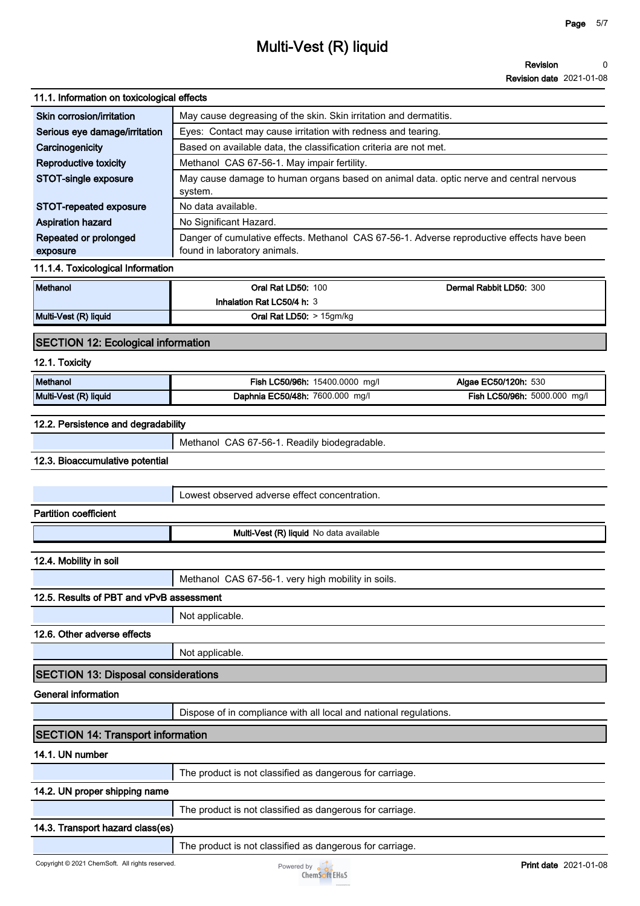#### **11.1. Information on toxicological effects**

| Skin corrosion/irritation         | May cause degreasing of the skin. Skin irritation and dermatitis.                                                          |  |  |
|-----------------------------------|----------------------------------------------------------------------------------------------------------------------------|--|--|
| Serious eye damage/irritation     | Eyes: Contact may cause irritation with redness and tearing.                                                               |  |  |
| Carcinogenicity                   | Based on available data, the classification criteria are not met.                                                          |  |  |
| Reproductive toxicity             | Methanol CAS 67-56-1. May impair fertility.                                                                                |  |  |
| STOT-single exposure              | May cause damage to human organs based on animal data, optic nerve and central nervous<br>system.                          |  |  |
| STOT-repeated exposure            | No data available.                                                                                                         |  |  |
| <b>Aspiration hazard</b>          | No Significant Hazard.                                                                                                     |  |  |
| Repeated or prolonged<br>exposure | Danger of cumulative effects. Methanol CAS 67-56-1. Adverse reproductive effects have been<br>found in laboratory animals. |  |  |

#### **11.1.4. Toxicological Information**

| Methanol              | <b>Oral Rat LD50: 100</b>         | Dermal Rabbit LD50: 300 |
|-----------------------|-----------------------------------|-------------------------|
|                       | Inhalation Rat LC50/4 h: 3        |                         |
| Multi-Vest (R) liquid | <b>Oral Rat LD50:</b> $> 15gm/kg$ |                         |

#### **SECTION 12: Ecological information**

#### **12.1. Toxicity**

| Methanol              | <b>Fish LC50/96h:</b><br>15400.0000<br>ma/l | Algae EC50/120h: 530                      |
|-----------------------|---------------------------------------------|-------------------------------------------|
| Multi-Vest (R) liquid | Daphnia EC50/48h: 7600.000<br>ma/l          | <b>Fish LC50/96h:</b><br>5000.000<br>mq/l |

#### **12.2. Persistence and degradability**

**Methanol CAS 67-56-1. Readily biodegradable.**

#### **12.3. Bioaccumulative potential**

**Lowest observed adverse effect concentration.**

#### **Partition coefficient**

**Multi-Vest (R) liquid No data available**

#### **12.4. Mobility in soil**

**Methanol CAS 67-56-1. very high mobility in soils.**

#### **12.5. Results of PBT and vPvB assessment**

**Not applicable.**

#### **12.6. Other adverse effects**

**Not applicable.**

#### **SECTION 13: Disposal considerations**

**General information**

**Dispose of in compliance with all local and national regulations.**

### **SECTION 14: Transport information**

#### **14.1. UN number**

|                               | The product is not classified as dangerous for carriage. |
|-------------------------------|----------------------------------------------------------|
| 14.2. UN proper shipping name |                                                          |
|                               | The product is not classified as dangerous for carriage. |

#### **14.3. Transport hazard class(es)**

**The product is not classified as dangerous for carriage.**

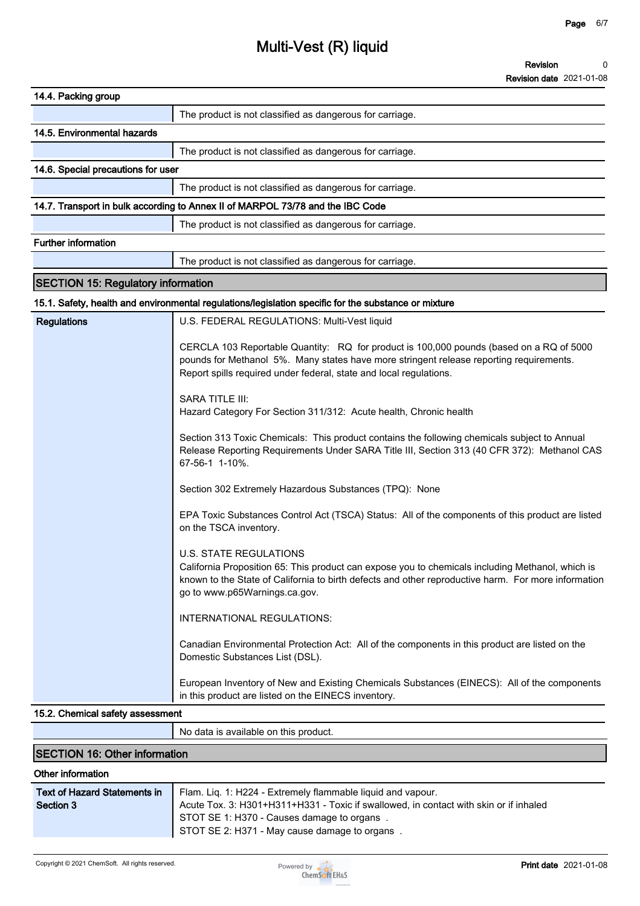**Revision 0**

**Revision date 2021-01-08**

| 14.4. Packing group                                                                                                                                                                                                                                                       |  |  |
|---------------------------------------------------------------------------------------------------------------------------------------------------------------------------------------------------------------------------------------------------------------------------|--|--|
| The product is not classified as dangerous for carriage.                                                                                                                                                                                                                  |  |  |
| 14.5. Environmental hazards                                                                                                                                                                                                                                               |  |  |
| The product is not classified as dangerous for carriage.                                                                                                                                                                                                                  |  |  |
| 14.6. Special precautions for user                                                                                                                                                                                                                                        |  |  |
| The product is not classified as dangerous for carriage.                                                                                                                                                                                                                  |  |  |
| 14.7. Transport in bulk according to Annex II of MARPOL 73/78 and the IBC Code                                                                                                                                                                                            |  |  |
| The product is not classified as dangerous for carriage.                                                                                                                                                                                                                  |  |  |
| <b>Further information</b>                                                                                                                                                                                                                                                |  |  |
| The product is not classified as dangerous for carriage.                                                                                                                                                                                                                  |  |  |
| <b>SECTION 15: Regulatory information</b>                                                                                                                                                                                                                                 |  |  |
| 15.1. Safety, health and environmental regulations/legislation specific for the substance or mixture                                                                                                                                                                      |  |  |
| <b>Regulations</b><br>U.S. FEDERAL REGULATIONS: Multi-Vest liquid                                                                                                                                                                                                         |  |  |
| CERCLA 103 Reportable Quantity: RQ for product is 100,000 pounds (based on a RQ of 5000<br>pounds for Methanol 5%. Many states have more stringent release reporting requirements.<br>Report spills required under federal, state and local regulations.                  |  |  |
| <b>SARA TITLE III:</b><br>Hazard Category For Section 311/312: Acute health, Chronic health                                                                                                                                                                               |  |  |
| Section 313 Toxic Chemicals: This product contains the following chemicals subject to Annual<br>Release Reporting Requirements Under SARA Title III, Section 313 (40 CFR 372): Methanol CAS<br>67-56-1 1-10%.                                                             |  |  |
| Section 302 Extremely Hazardous Substances (TPQ): None                                                                                                                                                                                                                    |  |  |
| EPA Toxic Substances Control Act (TSCA) Status: All of the components of this product are listed<br>on the TSCA inventory.                                                                                                                                                |  |  |
| <b>U.S. STATE REGULATIONS</b><br>California Proposition 65: This product can expose you to chemicals including Methanol, which is<br>known to the State of California to birth defects and other reproductive harm. For more information<br>go to www.p65Warnings.ca.gov. |  |  |
| INTERNATIONAL REGULATIONS:                                                                                                                                                                                                                                                |  |  |
| Canadian Environmental Protection Act: All of the components in this product are listed on the<br>Domestic Substances List (DSL).                                                                                                                                         |  |  |
| European Inventory of New and Existing Chemicals Substances (EINECS): All of the components<br>in this product are listed on the EINECS inventory.                                                                                                                        |  |  |
| 15.2. Chemical safety assessment                                                                                                                                                                                                                                          |  |  |
| No data is available on this product.                                                                                                                                                                                                                                     |  |  |
| <b>SECTION 16: Other information</b>                                                                                                                                                                                                                                      |  |  |
| Other information                                                                                                                                                                                                                                                         |  |  |

| Text of Hazard Statements in | Flam. Lig. 1: H224 - Extremely flammable liguid and vapour.                           |  |
|------------------------------|---------------------------------------------------------------------------------------|--|
| Section 3                    | Acute Tox. 3: H301+H311+H331 - Toxic if swallowed, in contact with skin or if inhaled |  |
|                              | STOT SE 1: H370 - Causes damage to organs.                                            |  |
|                              | STOT SE 2: H371 - May cause damage to organs.                                         |  |